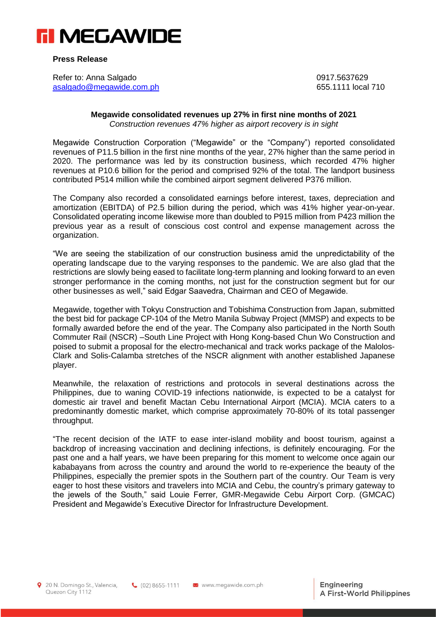

**Press Release**

Refer to: Anna Salgado 0917.5637629 [asalgado@megawide.com.ph](mailto:asalgado@megawide.com.ph)

## **Megawide consolidated revenues up 27% in first nine months of 2021** *Construction revenues 47% higher as airport recovery is in sight*

Megawide Construction Corporation ("Megawide" or the "Company") reported consolidated revenues of P11.5 billion in the first nine months of the year, 27% higher than the same period in 2020. The performance was led by its construction business, which recorded 47% higher revenues at P10.6 billion for the period and comprised 92% of the total. The landport business contributed P514 million while the combined airport segment delivered P376 million.

The Company also recorded a consolidated earnings before interest, taxes, depreciation and amortization (EBITDA) of P2.5 billion during the period, which was 41% higher year-on-year. Consolidated operating income likewise more than doubled to P915 million from P423 million the previous year as a result of conscious cost control and expense management across the organization.

"We are seeing the stabilization of our construction business amid the unpredictability of the operating landscape due to the varying responses to the pandemic. We are also glad that the restrictions are slowly being eased to facilitate long-term planning and looking forward to an even stronger performance in the coming months, not just for the construction segment but for our other businesses as well," said Edgar Saavedra, Chairman and CEO of Megawide.

Megawide, together with Tokyu Construction and Tobishima Construction from Japan, submitted the best bid for package CP-104 of the Metro Manila Subway Project (MMSP) and expects to be formally awarded before the end of the year. The Company also participated in the North South Commuter Rail (NSCR) –South Line Project with Hong Kong-based Chun Wo Construction and poised to submit a proposal for the electro-mechanical and track works package of the Malolos-Clark and Solis-Calamba stretches of the NSCR alignment with another established Japanese player.

Meanwhile, the relaxation of restrictions and protocols in several destinations across the Philippines, due to waning COVID-19 infections nationwide, is expected to be a catalyst for domestic air travel and benefit Mactan Cebu International Airport (MCIA). MCIA caters to a predominantly domestic market, which comprise approximately 70-80% of its total passenger throughput.

"The recent decision of the IATF to ease inter-island mobility and boost tourism, against a backdrop of increasing vaccination and declining infections, is definitely encouraging. For the past one and a half years, we have been preparing for this moment to welcome once again our kababayans from across the country and around the world to re-experience the beauty of the Philippines, especially the premier spots in the Southern part of the country. Our Team is very eager to host these visitors and travelers into MCIA and Cebu, the country's primary gateway to the jewels of the South," said Louie Ferrer, GMR-Megawide Cebu Airport Corp. (GMCAC) President and Megawide's Executive Director for Infrastructure Development.

9 20 N. Domingo St., Valencia, Quezon City 1112